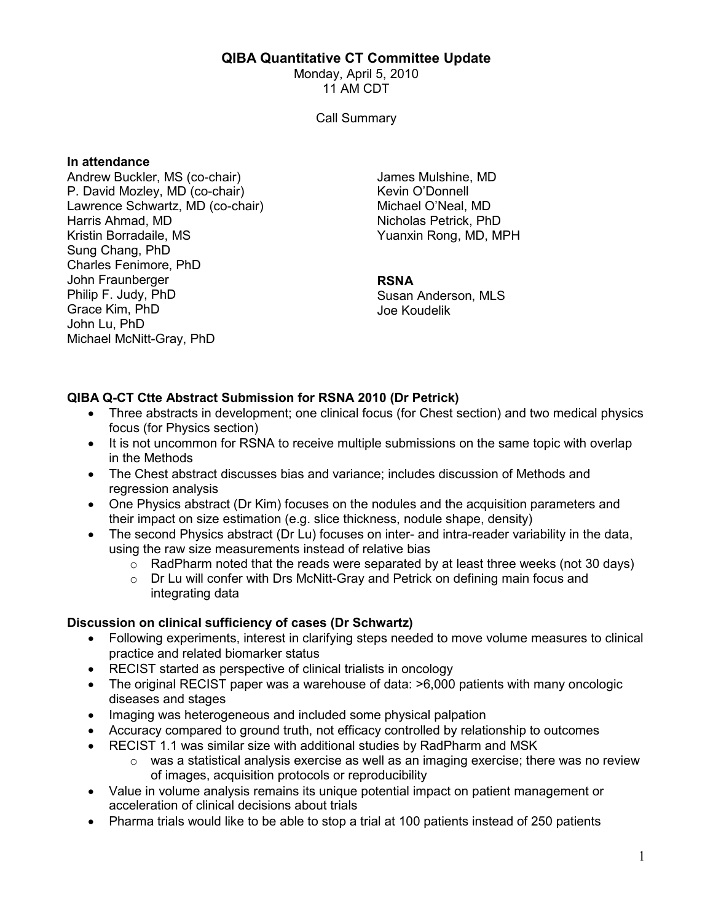## QIBA Quantitative CT Committee Update

Monday, April 5, 2010 11 AM CDT

Call Summary

#### In attendance

Andrew Buckler, MS (co-chair) P. David Mozley, MD (co-chair) Lawrence Schwartz, MD (co-chair) Harris Ahmad, MD Kristin Borradaile, MS Sung Chang, PhD Charles Fenimore, PhD John Fraunberger Philip F. Judy, PhD Grace Kim, PhD John Lu, PhD Michael McNitt-Gray, PhD

James Mulshine, MD Kevin O'Donnell Michael O'Neal, MD Nicholas Petrick, PhD Yuanxin Rong, MD, MPH

#### RSNA

Susan Anderson, MLS Joe Koudelik

# QIBA Q-CT Ctte Abstract Submission for RSNA 2010 (Dr Petrick)

- Three abstracts in development; one clinical focus (for Chest section) and two medical physics focus (for Physics section)
- It is not uncommon for RSNA to receive multiple submissions on the same topic with overlap in the Methods
- The Chest abstract discusses bias and variance; includes discussion of Methods and regression analysis
- One Physics abstract (Dr Kim) focuses on the nodules and the acquisition parameters and their impact on size estimation (e.g. slice thickness, nodule shape, density)
- The second Physics abstract (Dr Lu) focuses on inter- and intra-reader variability in the data, using the raw size measurements instead of relative bias
	- $\circ$  RadPharm noted that the reads were separated by at least three weeks (not 30 days)
	- $\circ$  Dr Lu will confer with Drs McNitt-Gray and Petrick on defining main focus and integrating data

# Discussion on clinical sufficiency of cases (Dr Schwartz)

- Following experiments, interest in clarifying steps needed to move volume measures to clinical practice and related biomarker status
- RECIST started as perspective of clinical trialists in oncology
- The original RECIST paper was a warehouse of data:  $>6,000$  patients with many oncologic diseases and stages
- Imaging was heterogeneous and included some physical palpation
- Accuracy compared to ground truth, not efficacy controlled by relationship to outcomes
- RECIST 1.1 was similar size with additional studies by RadPharm and MSK
	- o was a statistical analysis exercise as well as an imaging exercise; there was no review of images, acquisition protocols or reproducibility
- Value in volume analysis remains its unique potential impact on patient management or acceleration of clinical decisions about trials
- Pharma trials would like to be able to stop a trial at 100 patients instead of 250 patients